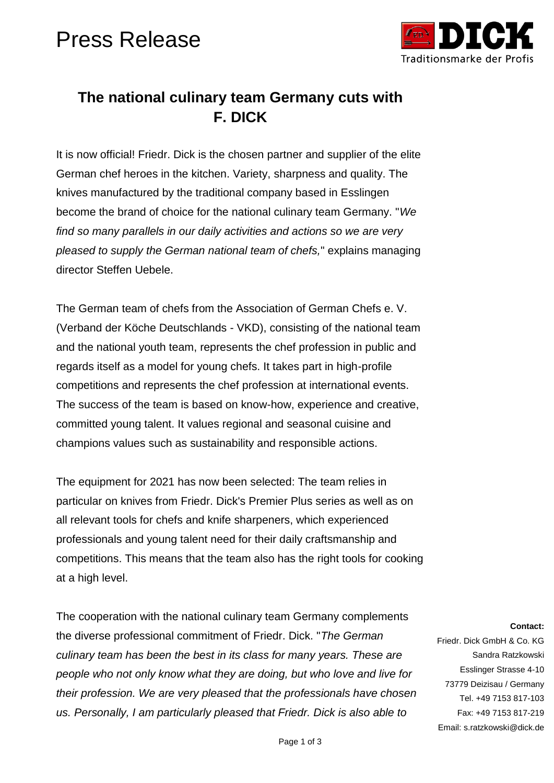# Press Release



### **The national culinary team Germany cuts with F. DICK**

It is now official! Friedr. Dick is the chosen partner and supplier of the elite German chef heroes in the kitchen. Variety, sharpness and quality. The knives manufactured by the traditional company based in Esslingen become the brand of choice for the national culinary team Germany. "*We find so many parallels in our daily activities and actions so we are very pleased to supply the German national team of chefs,*" explains managing director Steffen Uebele.

The German team of chefs from the Association of German Chefs e. V. (Verband der Köche Deutschlands - VKD), consisting of the national team and the national youth team, represents the chef profession in public and regards itself as a model for young chefs. It takes part in high-profile competitions and represents the chef profession at international events. The success of the team is based on know-how, experience and creative, committed young talent. It values regional and seasonal cuisine and champions values such as sustainability and responsible actions.

The equipment for 2021 has now been selected: The team relies in particular on knives from Friedr. Dick's Premier Plus series as well as on all relevant tools for chefs and knife sharpeners, which experienced professionals and young talent need for their daily craftsmanship and competitions. This means that the team also has the right tools for cooking at a high level.

The cooperation with the national culinary team Germany complements the diverse professional commitment of Friedr. Dick. "*The German culinary team has been the best in its class for many years. These are people who not only know what they are doing, but who love and live for their profession. We are very pleased that the professionals have chosen us. Personally, I am particularly pleased that Friedr. Dick is also able to* 

#### **Contact:**

Friedr. Dick GmbH & Co. KG Sandra Ratzkowski Esslinger Strasse 4-10 73779 Deizisau / Germany Tel. +49 7153 817-103 Fax: +49 7153 817-219 Email: s.ratzkowski@dick.de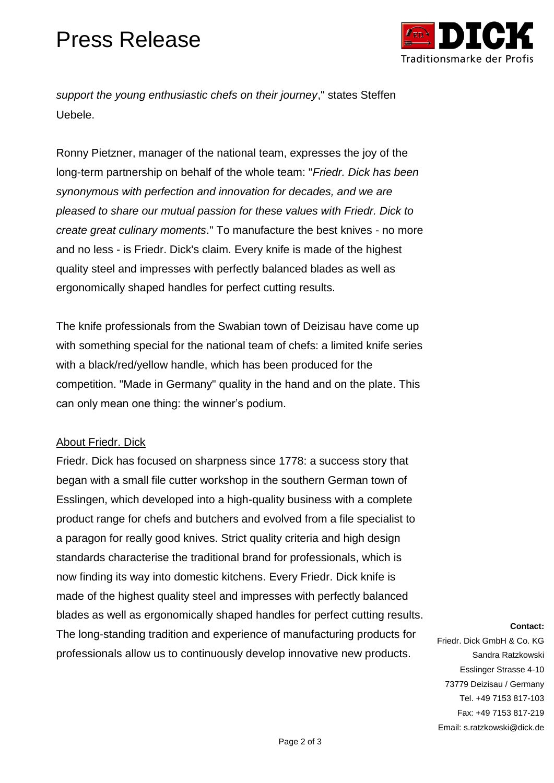# Press Release



*support the young enthusiastic chefs on their journey*," states Steffen Uebele.

Ronny Pietzner, manager of the national team, expresses the joy of the long-term partnership on behalf of the whole team: "*Friedr. Dick has been synonymous with perfection and innovation for decades, and we are pleased to share our mutual passion for these values with Friedr. Dick to create great culinary moments*." To manufacture the best knives - no more and no less - is Friedr. Dick's claim. Every knife is made of the highest quality steel and impresses with perfectly balanced blades as well as ergonomically shaped handles for perfect cutting results.

The knife professionals from the Swabian town of Deizisau have come up with something special for the national team of chefs: a limited knife series with a black/red/yellow handle, which has been produced for the competition. "Made in Germany" quality in the hand and on the plate. This can only mean one thing: the winner's podium.

#### About Friedr. Dick

Friedr. Dick has focused on sharpness since 1778: a success story that began with a small file cutter workshop in the southern German town of Esslingen, which developed into a high-quality business with a complete product range for chefs and butchers and evolved from a file specialist to a paragon for really good knives. Strict quality criteria and high design standards characterise the traditional brand for professionals, which is now finding its way into domestic kitchens. Every Friedr. Dick knife is made of the highest quality steel and impresses with perfectly balanced blades as well as ergonomically shaped handles for perfect cutting results. The long-standing tradition and experience of manufacturing products for professionals allow us to continuously develop innovative new products.

#### **Contact:**

Friedr. Dick GmbH & Co. KG Sandra Ratzkowski Esslinger Strasse 4-10 73779 Deizisau / Germany Tel. +49 7153 817-103 Fax: +49 7153 817-219 Email: s.ratzkowski@dick.de